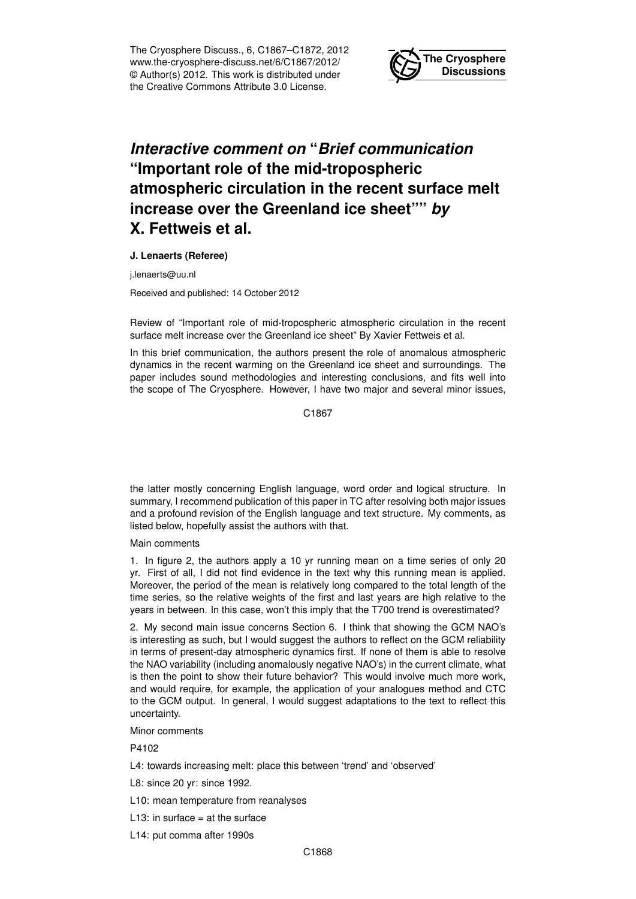The Cryosphere Discuss., 6, C1867–C1872, 2012 www.the-cryosphere-discuss.net/6/C1867/2012/ © Author(s) 2012. This work is distributed under the Creative Commons Attribute 3.0 License.



## *Interactive comment on* **"***Brief communication* **"Important role of the mid-tropospheric atmospheric circulation in the recent surface melt increase over the Greenland ice sheet""** *by* **X. Fettweis et al.**

## **J. Lenaerts (Referee)**

j.lenaerts@uu.nl

Received and published: 14 October 2012

Review of "Important role of mid-tropospheric atmospheric circulation in the recent surface melt increase over the Greenland ice sheet" By Xavier Fettweis et al.

In this brief communication, the authors present the role of anomalous atmospheric dynamics in the recent warming on the Greenland ice sheet and surroundings. The paper includes sound methodologies and interesting conclusions, and fits well into the scope of The Cryosphere. However, I have two major and several minor issues,

C1867

the latter mostly concerning English language, word order and logical structure. In summary, I recommend publication of this paper in TC after resolving both major issues and a profound revision of the English language and text structure. My comments, as listed below, hopefully assist the authors with that.

## Main comments

1. In figure 2, the authors apply a 10 yr running mean on a time series of only 20 yr. First of all, I did not find evidence in the text why this running mean is applied. Moreover, the period of the mean is relatively long compared to the total length of the time series, so the relative weights of the first and last years are high relative to the years in between. In this case, won't this imply that the T700 trend is overestimated?

2. My second main issue concerns Section 6. I think that showing the GCM NAO's is interesting as such, but I would suggest the authors to reflect on the GCM reliability in terms of present-day atmospheric dynamics first. If none of them is able to resolve the NAO variability (including anomalously negative NAO's) in the current climate, what is then the point to show their future behavior? This would involve much more work, and would require, for example, the application of your analogues method and CTC to the GCM output. In general, I would suggest adaptations to the text to reflect this uncertainty.

Minor comments

P4102

L4: towards increasing melt: place this between 'trend' and 'observed'

- L8: since 20 yr: since 1992.
- L10: mean temperature from reanalyses
- L13: in surface  $=$  at the surface
- L14: put comma after 1990s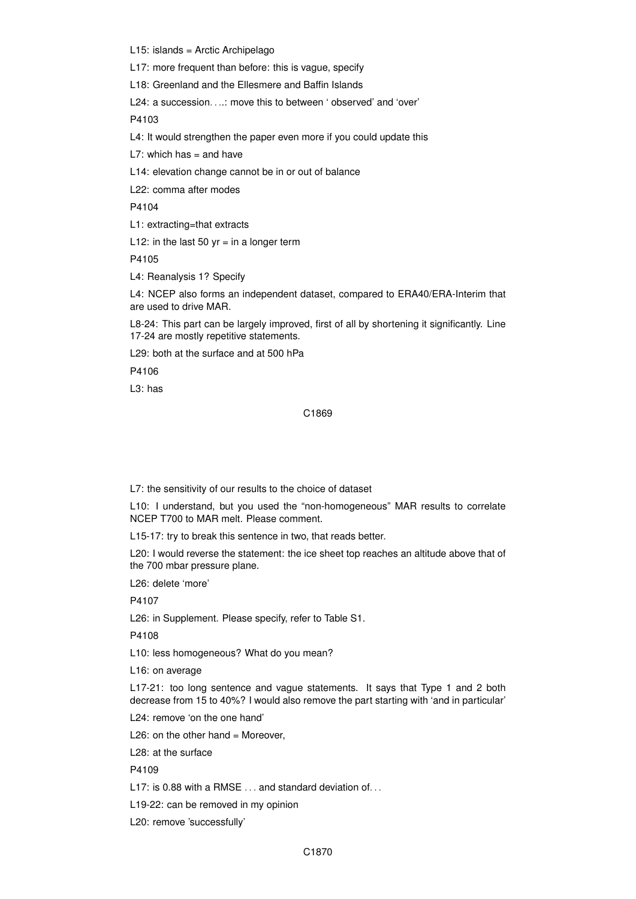L15: islands = Arctic Archipelago

L17: more frequent than before: this is vague, specify

L18: Greenland and the Ellesmere and Baffin Islands

L24: a succession. . ..: move this to between ' observed' and 'over'

P4103

L4: It would strengthen the paper even more if you could update this

L7: which has  $=$  and have

L14: elevation change cannot be in or out of balance

L22: comma after modes

P4104

L1: extracting=that extracts

L12: in the last 50 yr = in a longer term

P4105

L4: Reanalysis 1? Specify

L4: NCEP also forms an independent dataset, compared to ERA40/ERA-Interim that are used to drive MAR.

L8-24: This part can be largely improved, first of all by shortening it significantly. Line 17-24 are mostly repetitive statements.

L29: both at the surface and at 500 hPa

P4106

L3: has

## C1869

L7: the sensitivity of our results to the choice of dataset

L10: I understand, but you used the "non-homogeneous" MAR results to correlate NCEP T700 to MAR melt. Please comment.

L15-17: try to break this sentence in two, that reads better.

L20: I would reverse the statement: the ice sheet top reaches an altitude above that of the 700 mbar pressure plane.

L26: delete 'more'

P4107

L26: in Supplement. Please specify, refer to Table S1.

P4108

L10: less homogeneous? What do you mean?

L16: on average

L17-21: too long sentence and vague statements. It says that Type 1 and 2 both decrease from 15 to 40%? I would also remove the part starting with 'and in particular'

L24: remove 'on the one hand'

L26: on the other hand = Moreover,

L28: at the surface

P4109

L17: is 0.88 with a RMSE . . . and standard deviation of . . .

L19-22: can be removed in my opinion

L20: remove 'successfully'